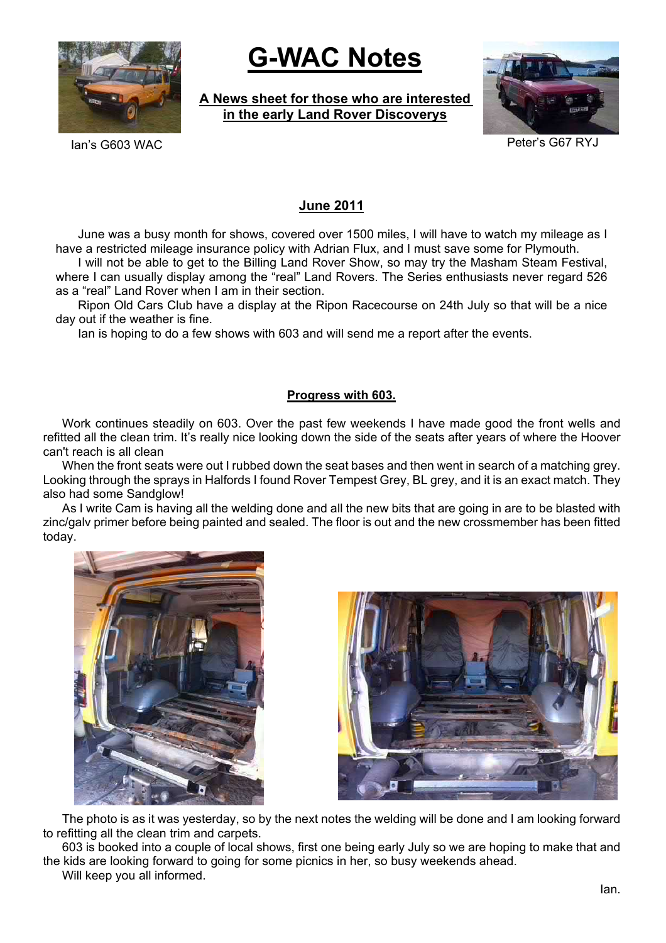

# **G-WAC Notes**

**A News sheet for those who are interested in the early Land Rover Discoverys**



Ian's G603 WAC Peter's G67 RYJ

## **June 2011**

June was a busy month for shows, covered over 1500 miles, I will have to watch my mileage as I have a restricted mileage insurance policy with Adrian Flux, and I must save some for Plymouth.

I will not be able to get to the Billing Land Rover Show, so may try the Masham Steam Festival, where I can usually display among the "real" Land Rovers. The Series enthusiasts never regard 526 as a "real" Land Rover when I am in their section.

Ripon Old Cars Club have a display at the Ripon Racecourse on 24th July so that will be a nice day out if the weather is fine.

Ian is hoping to do a few shows with 603 and will send me a report after the events.

#### **Progress with 603.**

Work continues steadily on 603. Over the past few weekends I have made good the front wells and refitted all the clean trim. It's really nice looking down the side of the seats after years of where the Hoover can't reach is all clean

When the front seats were out I rubbed down the seat bases and then went in search of a matching grey. Looking through the sprays in Halfords I found Rover Tempest Grey, BL grey, and it is an exact match. They also had some Sandglow!

As I write Cam is having all the welding done and all the new bits that are going in are to be blasted with zinc/galv primer before being painted and sealed. The floor is out and the new crossmember has been fitted today.





The photo is as it was yesterday, so by the next notes the welding will be done and I am looking forward to refitting all the clean trim and carpets.

603 is booked into a couple of local shows, first one being early July so we are hoping to make that and the kids are looking forward to going for some picnics in her, so busy weekends ahead. Will keep you all informed.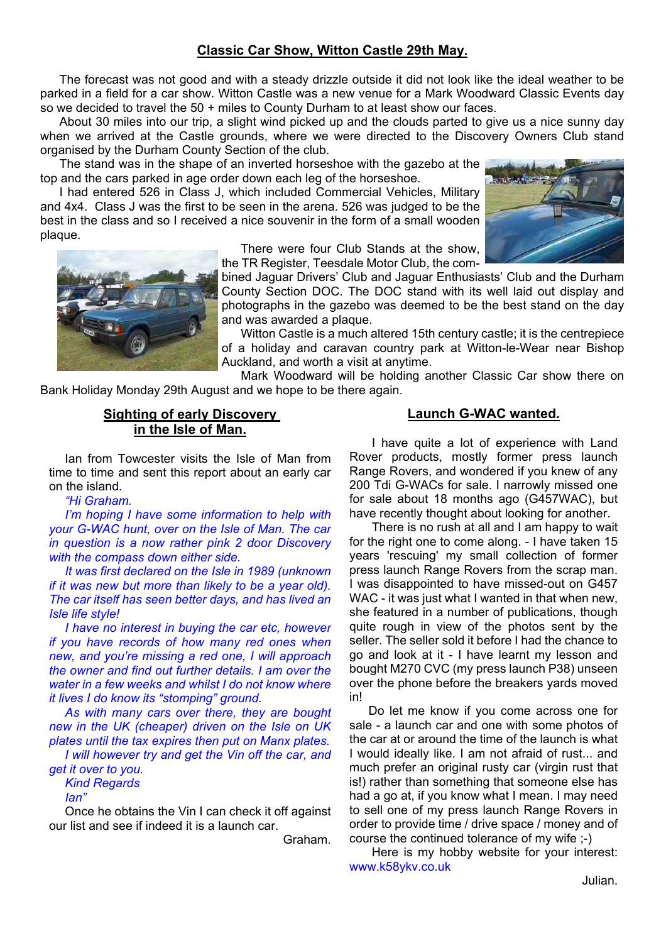## **Classic Car Show, Witton Castle 29th May.**

The forecast was not good and with a steady drizzle outside it did not look like the ideal weather to be parked in a field for a car show. Witton Castle was a new venue for a Mark Woodward Classic Events day so we decided to travel the 50 + miles to County Durham to at least show our faces.

About 30 miles into our trip, a slight wind picked up and the clouds parted to give us a nice sunny day when we arrived at the Castle grounds, where we were directed to the Discovery Owners Club stand organised by the Durham County Section of the club.

The stand was in the shape of an inverted horseshoe with the gazebo at the top and the cars parked in age order down each leg of the horseshoe.

I had entered 526 in Class J, which included Commercial Vehicles, Military and 4x4. Class J was the first to be seen in the arena. 526 was judged to be the best in the class and so I received a nice souvenir in the form of a small wooden plaque.



There were four Club Stands at the show, the TR Register, Teesdale Motor Club, the com-

bined Jaguar Drivers' Club and Jaguar Enthusiasts' Club and the Durham County Section DOC. The DOC stand with its well laid out display and photographs in the gazebo was deemed to be the best stand on the day and was awarded a plaque.

Witton Castle is a much altered 15th century castle; it is the centrepiece of a holiday and caravan country park at Witton-le-Wear near Bishop Auckland, and worth a visit at anytime.

Mark Woodward will be holding another Classic Car show there on Bank Holiday Monday 29th August and we hope to be there again.

#### **Sighting of early Discovery in the Isle of Man.**

Ian from Towcester visits the Isle of Man from time to time and sent this report about an early car on the island.

*"Hi Graham.*

*I'm hoping I have some information to help with your G-WAC hunt, over on the Isle of Man. The car in question is a now rather pink 2 door Discovery with the compass down either side.*

*It was first declared on the Isle in 1989 (unknown if it was new but more than likely to be a year old). The car itself has seen better days, and has lived an Isle life style!*

*I have no interest in buying the car etc, however if you have records of how many red ones when new, and you're missing a red one, I will approach the owner and find out further details. I am over the water in a few weeks and whilst I do not know where it lives I do know its "stomping" ground.*

*As with many cars over there, they are bought new in the UK (cheaper) driven on the Isle on UK plates until the tax expires then put on Manx plates.*

*I will however try and get the Vin off the car, and get it over to you.*

*Kind Regards*

*Ian"*

Once he obtains the Vin I can check it off against our list and see if indeed it is a launch car.

Graham.

#### **Launch G-WAC wanted.**

I have quite a lot of experience with Land Rover products, mostly former press launch Range Rovers, and wondered if you knew of any 200 Tdi G-WACs for sale. I narrowly missed one for sale about 18 months ago (G457WAC), but have recently thought about looking for another.

There is no rush at all and I am happy to wait for the right one to come along. - I have taken 15 years 'rescuing' my small collection of former press launch Range Rovers from the scrap man. I was disappointed to have missed-out on G457 WAC - it was just what I wanted in that when new. she featured in a number of publications, though quite rough in view of the photos sent by the seller. The seller sold it before I had the chance to go and look at it - I have learnt my lesson and bought M270 CVC (my press launch P38) unseen over the phone before the breakers yards moved in!

Do let me know if you come across one for sale - a launch car and one with some photos of the car at or around the time of the launch is what I would ideally like. I am not afraid of rust... and much prefer an original rusty car (virgin rust that is!) rather than something that someone else has had a go at, if you know what I mean. I may need to sell one of my press launch Range Rovers in order to provide time / drive space / money and of course the continued tolerance of my wife ;-)

Here is my hobby website for your interest: www.k58ykv.co.uk

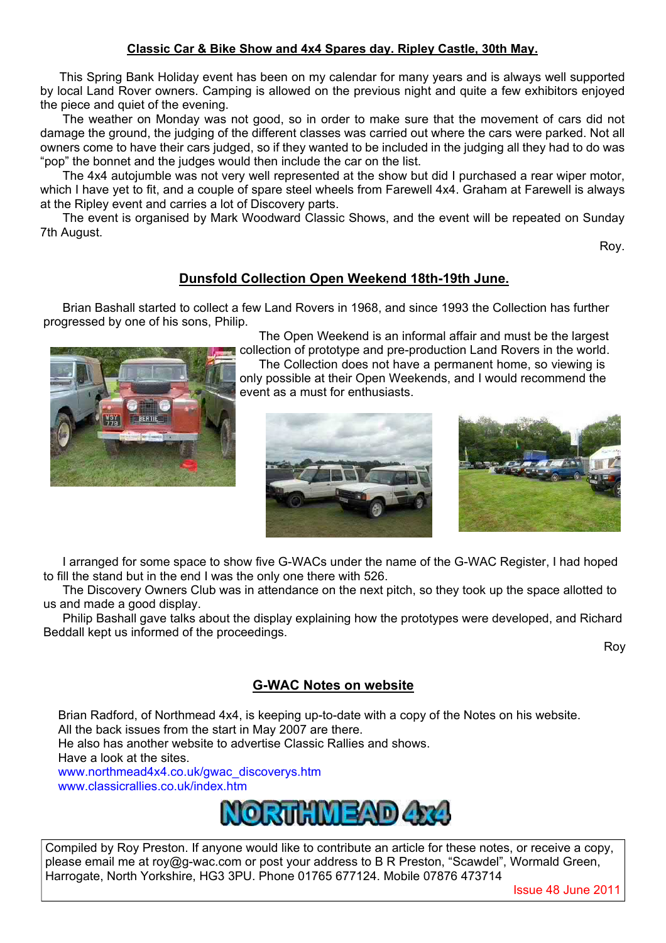## **Classic Car & Bike Show and 4x4 Spares day. Ripley Castle, 30th May.**

This Spring Bank Holiday event has been on my calendar for many years and is always well supported by local Land Rover owners. Camping is allowed on the previous night and quite a few exhibitors enjoyed the piece and quiet of the evening.

The weather on Monday was not good, so in order to make sure that the movement of cars did not damage the ground, the judging of the different classes was carried out where the cars were parked. Not all owners come to have their cars judged, so if they wanted to be included in the judging all they had to do was "pop" the bonnet and the judges would then include the car on the list.

The 4x4 autojumble was not very well represented at the show but did I purchased a rear wiper motor, which I have yet to fit, and a couple of spare steel wheels from Farewell 4x4. Graham at Farewell is always at the Ripley event and carries a lot of Discovery parts.

The event is organised by Mark Woodward Classic Shows, and the event will be repeated on Sunday 7th August.

Roy.

## **Dunsfold Collection Open Weekend 18th-19th June.**

Brian Bashall started to collect a few Land Rovers in 1968, and since 1993 the Collection has further progressed by one of his sons, Philip.







I arranged for some space to show five G-WACs under the name of the G-WAC Register, I had hoped to fill the stand but in the end I was the only one there with 526.

The Discovery Owners Club was in attendance on the next pitch, so they took up the space allotted to us and made a good display.

Philip Bashall gave talks about the display explaining how the prototypes were developed, and Richard Beddall kept us informed of the proceedings.

Roy

#### **G-WAC Notes on website**

Brian Radford, of Northmead 4x4, is keeping up-to-date with a copy of the Notes on his website. All the back issues from the start in May 2007 are there. He also has another website to advertise Classic Rallies and shows. Have a look at the sites. www.northmead4x4.co.uk/gwac\_discoverys.htm www.classicrallies.co.uk/index.htm



Compiled by Roy Preston. If anyone would like to contribute an article for these notes, or receive a copy, please email me at roy@g-wac.com or post your address to B R Preston, "Scawdel", Wormald Green, Harrogate, North Yorkshire, HG3 3PU. Phone 01765 677124. Mobile 07876 473714

Issue 48 June 2011